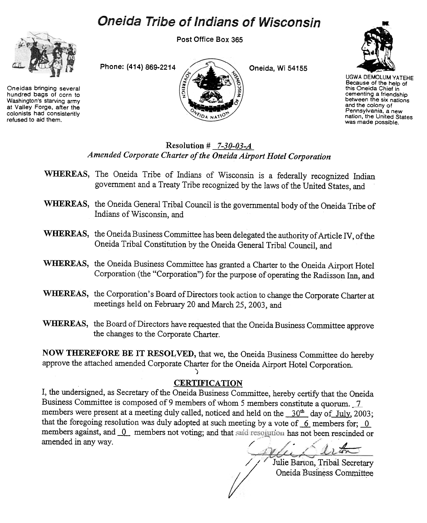# **Oneida Tribe of Indians of Wisconsin**



Oneidas bringing several hundred bags of corn to Washington's starving army at Valley Forge, after the colonists had consistently refused to aid them.

Post Office Box 365





UGWA DEMOLUM YATEHE Because of the help of this Oneida Chief in cementing a friendship between the six nations and the colony of Pennsylvania, a new nation, the United States was made possible.

### Resolution  $\#$  7-30-03-A Amended Corporate Charter of the Oneida Airport Hotel Corporation

- WHEREAS, The Oneida Tribe of Indians of Wisconsin is a federally recognized Indian government and a Treaty Tribe recognized by the laws of the United States, and
- WHEREAS, the Oneida General Tribal Council is the governmental body of the Oneida Tribe of Indians of Wisconsin, and
- WHEREAS, the Oneida Business Committee has been delegated the authority of Article IV, of the Oneida Tribal Constitution by the Oneida General Tribal Council, and
- WHEREAS, the Oneida Business Committee has granted a Charter to the Oneida Airport Hotel Corporation (the "Corporation") for the purpose of operating the Radisson Inn, and
- WHEREAS, the Corporation's Board of Directors took action to change the Corporate Charter at meetings held on February 20 and March 25,2003, and
- WHEREAS, the Board of Directors have requested that the Oneida Business Committee approve the changes to the Corporate Charter.

NOW THEREFORE BE IT RESOLVED, that we, the Oneida Business Committee do hereby approve the attached amended Corporate Charter for the Oneida Airport Hotel Corporation.

## **CERTIFICATION**

)

I, the undersigned, as Secretary of the Oneida Business Committee, hereby certify that the Oneida Business Committee is composed of 9 members of whom 5 members constitute a quorum. 7 members were present at a meeting duly called, noticed and held on the  $-30<sup>th</sup>$  day of July, 2003; that the foregoing resolution was duly adopted at such meeting by a vote of  $\sim$  6. members for; 0. members against, and  $\overline{0}$  members not voting; and that said resolution has not been rescinded or amended in any way.  $\qquad \qquad \qquad$ 

/

/

/ ,-

Julie Barton, Tribal Secretary Oneida Business Committee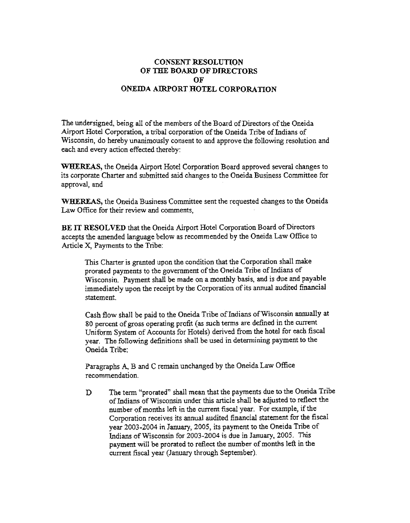#### CONSENT RESOLUTION OF THE BOARD OF DIRECTORS OF ONEIDA AIRPORT HOTEL CORPORATION

The undersigned, being all of the members of the Board of Directors of the Oneida Airport Hotel Corporation, a tribal corporation of the Oneida Tribe of Indians of Wisconsin, do hereby unanimously consent to and approve the following resolution and each and every action effected thereby:

WHEREAS, the Oneida Airport Hotel Corporation Board approved several changes to its corporate Charter and submitted said changes to the Oneida Business Committee for approval, and

WHEREAS, the Oneida Busjness Committee sent the requested changes to the Oneida Law Office for their review and comments,

BE IT RESOLVED that the Oneida Airport Hotel Corporation Board of Directors accepts the amended language below as recommended by the Oneida Law Office to Article X, Payments to the Tribe:

This Charter is granted upon the condition that the Corporation shall make prorated payments to the government of the Oneida Tribe of Indians of Wisconsin. Payment shall be made on a monthly basis, and is due and payable immediately upon the receipt by the Corporation of its annual audited financial statement.

Cash flow shall be paid to the Oneida Tribe of Indians of Wisconsin annually at 80 percent of gross operating profit (as such terms are defined in the current Uniform System of Accounts for Hotels) derived from the hotel for each fiscal year. The following definitions shall be used in determining payment to the Oneida Tribe:

Paragraphs A, B and C remain unchanged by the Oneida Law Office recommendation.

D. The term "prorated" shall mean that the payments due to the Oneida Tribe of Indians of Wisconsin under this article shall be adjusted to reflect the number of months left in the current fiscal year. For example, if the Corporation receives its annual audited financial statement for the fiscal year 2003-2004 in January, 2005, its payment to the Oneida Tribe of Indians of Wisconsin for 2003-2004 is due in January, 2005. This payment will be prorated to reflect the number of months left in the current fiscal year (January through September).